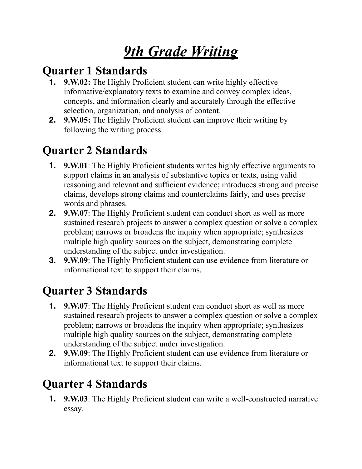# *9th Grade Writing*

### **Quarter 1 Standards**

- **1. 9.W.02:** The Highly Proficient student can write highly effective informative/explanatory texts to examine and convey complex ideas, concepts, and information clearly and accurately through the effective selection, organization, and analysis of content.
- **2. 9.W.05:** The Highly Proficient student can improve their writing by following the writing process.

### **Quarter 2 Standards**

- **1. 9.W.01**: The Highly Proficient students writes highly effective arguments to support claims in an analysis of substantive topics or texts, using valid reasoning and relevant and sufficient evidence; introduces strong and precise claims, develops strong claims and counterclaims fairly, and uses precise words and phrases.
- **2. 9.W.07**: The Highly Proficient student can conduct short as well as more sustained research projects to answer a complex question or solve a complex problem; narrows or broadens the inquiry when appropriate; synthesizes multiple high quality sources on the subject, demonstrating complete understanding of the subject under investigation.
- **3. 9.W.09**: The Highly Proficient student can use evidence from literature or informational text to support their claims.

# **Quarter 3 Standards**

- **1. 9.W.07**: The Highly Proficient student can conduct short as well as more sustained research projects to answer a complex question or solve a complex problem; narrows or broadens the inquiry when appropriate; synthesizes multiple high quality sources on the subject, demonstrating complete understanding of the subject under investigation.
- **2. 9.W.09**: The Highly Proficient student can use evidence from literature or informational text to support their claims.

# **Quarter 4 Standards**

**1. 9.W.03**: The Highly Proficient student can write a well-constructed narrative essay.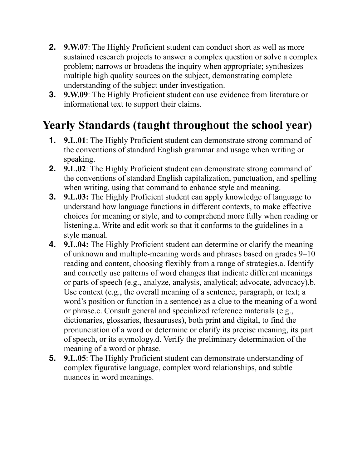- **2. 9.W.07**: The Highly Proficient student can conduct short as well as more sustained research projects to answer a complex question or solve a complex problem; narrows or broadens the inquiry when appropriate; synthesizes multiple high quality sources on the subject, demonstrating complete understanding of the subject under investigation.
- **3. 9.W.09**: The Highly Proficient student can use evidence from literature or informational text to support their claims.

#### **Yearly Standards (taught throughout the school year)**

- **1. 9.L.01**: The Highly Proficient student can demonstrate strong command of the conventions of standard English grammar and usage when writing or speaking.
- **2. 9.L.02**: The Highly Proficient student can demonstrate strong command of the conventions of standard English capitalization, punctuation, and spelling when writing, using that command to enhance style and meaning.
- **3. 9.L.03:** The Highly Proficient student can apply knowledge of language to understand how language functions in different contexts, to make effective choices for meaning or style, and to comprehend more fully when reading or listening.a. Write and edit work so that it conforms to the guidelines in a style manual.
- **4. 9.L.04:** The Highly Proficient student can determine or clarify the meaning of unknown and multiple-meaning words and phrases based on grades 9–10 reading and content, choosing flexibly from a range of strategies.a. Identify and correctly use patterns of word changes that indicate different meanings or parts of speech (e.g., analyze, analysis, analytical; advocate, advocacy).b. Use context (e.g., the overall meaning of a sentence, paragraph, or text; a word's position or function in a sentence) as a clue to the meaning of a word or phrase.c. Consult general and specialized reference materials (e.g., dictionaries, glossaries, thesauruses), both print and digital, to find the pronunciation of a word or determine or clarify its precise meaning, its part of speech, or its etymology.d. Verify the preliminary determination of the meaning of a word or phrase.
- **5. 9.L.05**: The Highly Proficient student can demonstrate understanding of complex figurative language, complex word relationships, and subtle nuances in word meanings.